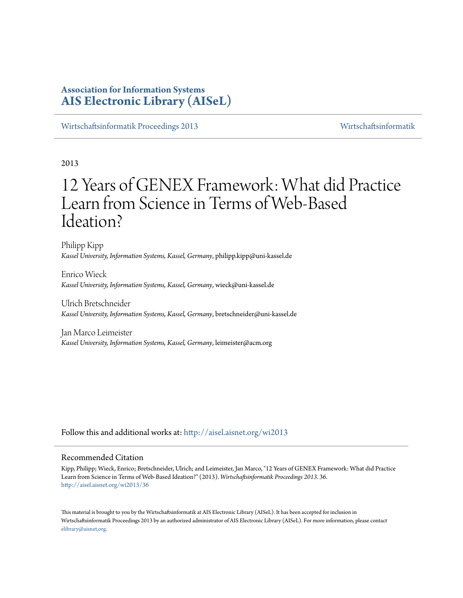# **Association for Information Systems [AIS Electronic Library \(AISeL\)](http://aisel.aisnet.org?utm_source=aisel.aisnet.org%2Fwi2013%2F36&utm_medium=PDF&utm_campaign=PDFCoverPages)**

[Wirtschaftsinformatik Proceedings 2013](http://aisel.aisnet.org/wi2013?utm_source=aisel.aisnet.org%2Fwi2013%2F36&utm_medium=PDF&utm_campaign=PDFCoverPages) [Wirtschaftsinformatik](http://aisel.aisnet.org/wi?utm_source=aisel.aisnet.org%2Fwi2013%2F36&utm_medium=PDF&utm_campaign=PDFCoverPages)

# 2013

# 12 Years of GENEX Framework: What did Practice Learn from Science in Terms of Web-Based Ideation?

Philipp Kipp *Kassel University, Information Systems, Kassel, Germany*, philipp.kipp@uni-kassel.de

Enrico Wieck *Kassel University, Information Systems, Kassel, Germany*, wieck@uni-kassel.de

Ulrich Bretschneider *Kassel University, Information Systems, Kassel, Germany*, bretschneider@uni-kassel.de

Jan Marco Leimeister *Kassel University, Information Systems, Kassel, Germany*, leimeister@acm.org

Follow this and additional works at: [http://aisel.aisnet.org/wi2013](http://aisel.aisnet.org/wi2013?utm_source=aisel.aisnet.org%2Fwi2013%2F36&utm_medium=PDF&utm_campaign=PDFCoverPages)

## Recommended Citation

Kipp, Philipp; Wieck, Enrico; Bretschneider, Ulrich; and Leimeister, Jan Marco, "12 Years of GENEX Framework: What did Practice Learn from Science in Terms of Web-Based Ideation?" (2013). *Wirtschaftsinformatik Proceedings 2013*. 36. [http://aisel.aisnet.org/wi2013/36](http://aisel.aisnet.org/wi2013/36?utm_source=aisel.aisnet.org%2Fwi2013%2F36&utm_medium=PDF&utm_campaign=PDFCoverPages)

This material is brought to you by the Wirtschaftsinformatik at AIS Electronic Library (AISeL). It has been accepted for inclusion in Wirtschaftsinformatik Proceedings 2013 by an authorized administrator of AIS Electronic Library (AISeL). For more information, please contact [elibrary@aisnet.org.](mailto:elibrary@aisnet.org%3E)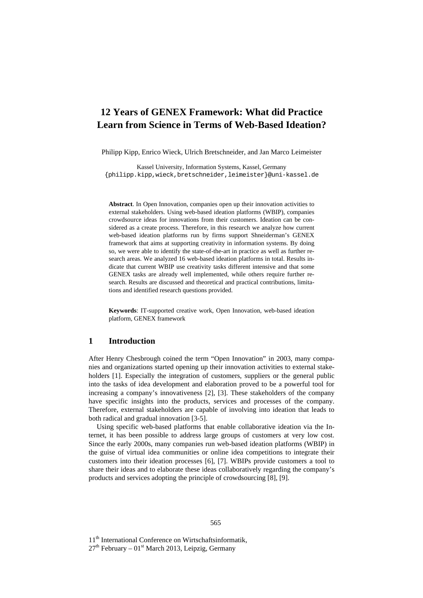# **12 Years of GENEX Framework: What did Practice Learn from Science in Terms of Web-Based Ideation?**

Philipp Kipp, Enrico Wieck, Ulrich Bretschneider, and Jan Marco Leimeister

Kassel University, Information Systems, Kassel, Germany {philipp.kipp,wieck,bretschneider,leimeister}@uni-kassel.de

**Abstract**. In Open Innovation, companies open up their innovation activities to external stakeholders. Using web-based ideation platforms (WBIP), companies crowdsource ideas for innovations from their customers. Ideation can be considered as a create process. Therefore, in this research we analyze how current web-based ideation platforms run by firms support Shneiderman's GENEX framework that aims at supporting creativity in information systems. By doing so, we were able to identify the state-of-the-art in practice as well as further research areas. We analyzed 16 web-based ideation platforms in total. Results indicate that current WBIP use creativity tasks different intensive and that some GENEX tasks are already well implemented, while others require further research. Results are discussed and theoretical and practical contributions, limitations and identified research questions provided.

**Keywords**: IT-supported creative work, Open Innovation, web-based ideation platform, GENEX framework

#### **1 Introduction**

After Henry Chesbrough coined the term "Open Innovation" in 2003, many companies and organizations started opening up their innovation activities to external stakeholders [1]. Especially the integration of customers, suppliers or the general public into the tasks of idea development and elaboration proved to be a powerful tool for increasing a company's innovativeness [2], [3]. These stakeholders of the company have specific insights into the products, services and processes of the company. Therefore, external stakeholders are capable of involving into ideation that leads to both radical and gradual innovation [3-5].

Using specific web-based platforms that enable collaborative ideation via the Internet, it has been possible to address large groups of customers at very low cost. Since the early 2000s, many companies run web-based ideation platforms (WBIP) in the guise of virtual idea communities or online idea competitions to integrate their customers into their ideation processes [6], [7]. WBIPs provide customers a tool to share their ideas and to elaborate these ideas collaboratively regarding the company's products and services adopting the principle of crowdsourcing [8], [9].

11<sup>th</sup> International Conference on Wirtschaftsinformatik,

 $27<sup>th</sup>$  February – 01<sup>st</sup> March 2013, Leipzig, Germany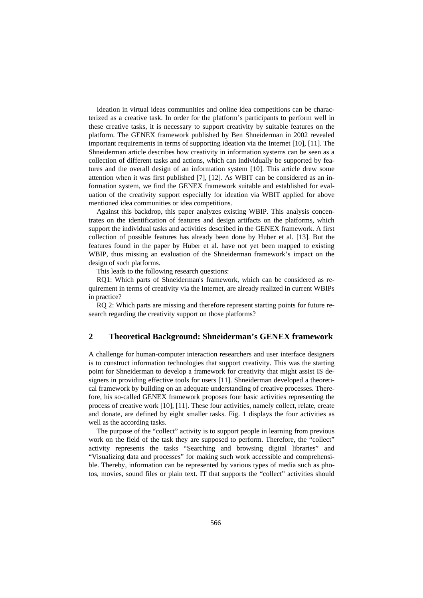Ideation in virtual ideas communities and online idea competitions can be characterized as a creative task. In order for the platform's participants to perform well in these creative tasks, it is necessary to support creativity by suitable features on the platform. The GENEX framework published by Ben Shneiderman in 2002 revealed important requirements in terms of supporting ideation via the Internet [10], [11]. The Shneiderman article describes how creativity in information systems can be seen as a collection of different tasks and actions, which can individually be supported by features and the overall design of an information system [10]. This article drew some attention when it was first published [7], [12]. As WBIT can be considered as an information system, we find the GENEX framework suitable and established for evaluation of the creativity support especially for ideation via WBIT applied for above mentioned idea communities or idea competitions.

Against this backdrop, this paper analyzes existing WBIP. This analysis concentrates on the identification of features and design artifacts on the platforms, which support the individual tasks and activities described in the GENEX framework. A first collection of possible features has already been done by Huber et al. [13]. But the features found in the paper by Huber et al. have not yet been mapped to existing WBIP, thus missing an evaluation of the Shneiderman framework's impact on the design of such platforms.

This leads to the following research questions:

RQ1: Which parts of Shneiderman's framework, which can be considered as requirement in terms of creativity via the Internet, are already realized in current WBIPs in practice?

RQ 2: Which parts are missing and therefore represent starting points for future research regarding the creativity support on those platforms?

## **2 Theoretical Background: Shneiderman's GENEX framework**

A challenge for human-computer interaction researchers and user interface designers is to construct information technologies that support creativity. This was the starting point for Shneiderman to develop a framework for creativity that might assist IS designers in providing effective tools for users [11]. Shneiderman developed a theoretical framework by building on an adequate understanding of creative processes. Therefore, his so-called GENEX framework proposes four basic activities representing the process of creative work [10], [11]. These four activities, namely collect, relate, create and donate, are defined by eight smaller tasks. Fig. 1 displays the four activities as well as the according tasks.

The purpose of the "collect" activity is to support people in learning from previous work on the field of the task they are supposed to perform. Therefore, the "collect" activity represents the tasks "Searching and browsing digital libraries" and "Visualizing data and processes" for making such work accessible and comprehensible. Thereby, information can be represented by various types of media such as photos, movies, sound files or plain text. IT that supports the "collect" activities should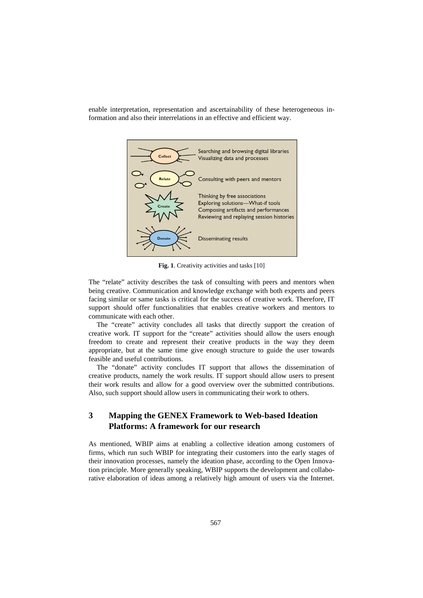enable interpretation, representation and ascertainability of these heterogeneous information and also their interrelations in an effective and efficient way.



**Fig. 1**. Creativity activities and tasks [10]

The "relate" activity describes the task of consulting with peers and mentors when being creative. Communication and knowledge exchange with both experts and peers facing similar or same tasks is critical for the success of creative work. Therefore, IT support should offer functionalities that enables creative workers and mentors to communicate with each other.

The "create" activity concludes all tasks that directly support the creation of creative work. IT support for the "create" activities should allow the users enough freedom to create and represent their creative products in the way they deem appropriate, but at the same time give enough structure to guide the user towards feasible and useful contributions.

The "donate" activity concludes IT support that allows the dissemination of creative products, namely the work results. IT support should allow users to present their work results and allow for a good overview over the submitted contributions. Also, such support should allow users in communicating their work to others.

# **3 Mapping the GENEX Framework to Web-based Ideation Platforms: A framework for our research**

As mentioned, WBIP aims at enabling a collective ideation among customers of firms, which run such WBIP for integrating their customers into the early stages of their innovation processes, namely the ideation phase, according to the Open Innovation principle. More generally speaking, WBIP supports the development and collaborative elaboration of ideas among a relatively high amount of users via the Internet.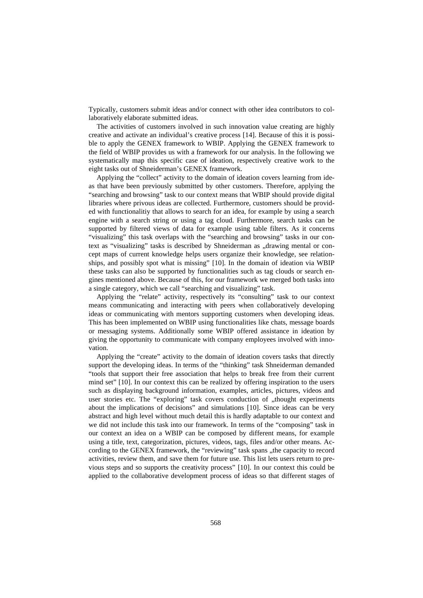Typically, customers submit ideas and/or connect with other idea contributors to collaboratively elaborate submitted ideas.

The activities of customers involved in such innovation value creating are highly creative and activate an individual's creative process [14]. Because of this it is possible to apply the GENEX framework to WBIP. Applying the GENEX framework to the field of WBIP provides us with a framework for our analysis. In the following we systematically map this specific case of ideation, respectively creative work to the eight tasks out of Shneiderman's GENEX framework.

Applying the "collect" activity to the domain of ideation covers learning from ideas that have been previously submitted by other customers. Therefore, applying the "searching and browsing" task to our context means that WBIP should provide digital libraries where privous ideas are collected. Furthermore, customers should be provided with functionalitiy that allows to search for an idea, for example by using a search engine with a search string or using a tag cloud. Furthermore, search tasks can be supported by filtered views of data for example using table filters. As it concerns "visualizing" this task overlaps with the "searching and browsing" tasks in our context as "visualizing" tasks is described by Shneiderman as "drawing mental or concept maps of current knowledge helps users organize their knowledge, see relationships, and possibly spot what is missing" [10]. In the domain of ideation via WBIP these tasks can also be supported by functionalities such as tag clouds or search engines mentioned above. Because of this, for our framework we merged both tasks into a single category, which we call "searching and visualizing" task.

Applying the "relate" activity, respectively its "consulting" task to our context means communicating and interacting with peers when collaboratively developing ideas or communicating with mentors supporting customers when developing ideas. This has been implemented on WBIP using functionalities like chats, message boards or messaging systems. Additionally some WBIP offered assistance in ideation by giving the opportunity to communicate with company employees involved with innovation.

Applying the "create" activity to the domain of ideation covers tasks that directly support the developing ideas. In terms of the "thinking" task Shneiderman demanded "tools that support their free association that helps to break free from their current mind set" [10]. In our context this can be realized by offering inspiration to the users such as displaying background information, examples, articles, pictures, videos and user stories etc. The "exploring" task covers conduction of "thought experiments about the implications of decisions" and simulations [10]. Since ideas can be very abstract and high level without much detail this is hardly adaptable to our context and we did not include this task into our framework. In terms of the "composing" task in our context an idea on a WBIP can be composed by different means, for example using a title, text, categorization, pictures, videos, tags, files and/or other means. According to the GENEX framework, the "reviewing" task spans "the capacity to record activities, review them, and save them for future use. This list lets users return to previous steps and so supports the creativity process" [10]. In our context this could be applied to the collaborative development process of ideas so that different stages of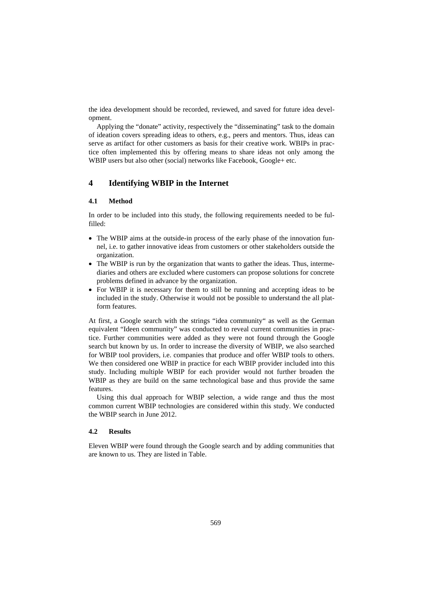the idea development should be recorded, reviewed, and saved for future idea development.

Applying the "donate" activity, respectively the "disseminating" task to the domain of ideation covers spreading ideas to others, e.g., peers and mentors. Thus, ideas can serve as artifact for other customers as basis for their creative work. WBIPs in practice often implemented this by offering means to share ideas not only among the WBIP users but also other (social) networks like Facebook, Google+ etc.

# **4 Identifying WBIP in the Internet**

#### **4.1 Method**

In order to be included into this study, the following requirements needed to be fulfilled:

- The WBIP aims at the outside-in process of the early phase of the innovation funnel, i.e. to gather innovative ideas from customers or other stakeholders outside the organization.
- The WBIP is run by the organization that wants to gather the ideas. Thus, intermediaries and others are excluded where customers can propose solutions for concrete problems defined in advance by the organization.
- For WBIP it is necessary for them to still be running and accepting ideas to be included in the study. Otherwise it would not be possible to understand the all platform features.

At first, a Google search with the strings "idea community" as well as the German equivalent "Ideen community" was conducted to reveal current communities in practice. Further communities were added as they were not found through the Google search but known by us. In order to increase the diversity of WBIP, we also searched for WBIP tool providers, i.e. companies that produce and offer WBIP tools to others. We then considered one WBIP in practice for each WBIP provider included into this study. Including multiple WBIP for each provider would not further broaden the WBIP as they are build on the same technological base and thus provide the same features.

Using this dual approach for WBIP selection, a wide range and thus the most common current WBIP technologies are considered within this study. We conducted the WBIP search in June 2012.

#### **4.2 Results**

Eleven WBIP were found through the Google search and by adding communities that are known to us. They are listed in Table.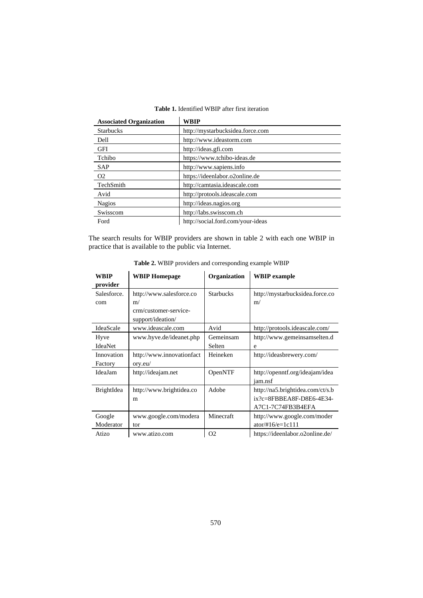| <b>Associated Organization</b> | WBIP                              |  |  |  |  |
|--------------------------------|-----------------------------------|--|--|--|--|
| <b>Starbucks</b>               | http://mystarbucksidea.force.com  |  |  |  |  |
| Dell                           | http://www.ideastorm.com          |  |  |  |  |
| <b>GFI</b>                     | http://ideas.gfi.com              |  |  |  |  |
| Tchibo                         | https://www.tchibo-ideas.de       |  |  |  |  |
| <b>SAP</b>                     | http://www.sapiens.info           |  |  |  |  |
| O <sub>2</sub>                 | https://ideenlabor.o2online.de    |  |  |  |  |
| TechSmith                      | http://camtasia.ideascale.com     |  |  |  |  |
| Avid                           | http://protools.ideascale.com     |  |  |  |  |
| <b>Nagios</b>                  | http://ideas.nagios.org           |  |  |  |  |
| Swisscom                       | http://labs.swisscom.ch           |  |  |  |  |
| Ford                           | http://social.ford.com/your-ideas |  |  |  |  |

# **Table 1.** Identified WBIP after first iteration

The search results for WBIP providers are shown in table 2 with each one WBIP in practice that is available to the public via Internet.

| WBIP<br>provider      | <b>WBIP Homepage</b>                                                         | Organization        | <b>WBIP</b> example                                                                   |
|-----------------------|------------------------------------------------------------------------------|---------------------|---------------------------------------------------------------------------------------|
| Salesforce.<br>com    | http://www.salesforce.co<br>m/<br>crm/customer-service-<br>support/ideation/ | <b>Starbucks</b>    | http://mystarbucksidea.force.co<br>m/                                                 |
| IdeaScale             | www.ideascale.com                                                            | Avid                | http://protools.ideascale.com/                                                        |
| Hyve<br>IdeaNet       | www.hyve.de/ideanet.php                                                      | Gemeinsam<br>Selten | http://www.gemeinsamselten.d<br>e                                                     |
| Innovation<br>Factory | http://www.innovationfact<br>ory.eu/                                         | Heineken            | http://ideasbrewery.com/                                                              |
| IdeaJam               | http://ideajam.net                                                           | OpenNTF             | http://openntf.org/ideajam/idea<br>jam.nsf                                            |
| BrightIdea            | http://www.brightidea.co<br>m                                                | Adobe               | http://na5.brightidea.com/ct/s.b<br>$ix?c = 8FBBEA8F-D8E6-4E34-$<br>A7C1-7C74FB3B4EFA |
| Google<br>Moderator   | www.google.com/modera<br>tor                                                 | Minecraft           | http://www.google.com/moder<br>$ator/ \#16/e=1c111$                                   |
| Atizo                 | www.atizo.com                                                                | O <sub>2</sub>      | https://ideenlabor.o2online.de/                                                       |

**Table 2.** WBIP providers and corresponding example WBIP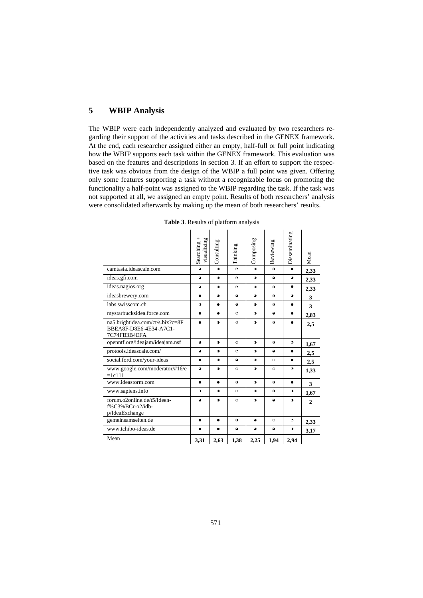# **5 WBIP Analysis**

The WBIP were each independently analyzed and evaluated by two researchers regarding their support of the activities and tasks described in the GENEX framework. At the end, each researcher assigned either an empty, half-full or full point indicating how the WBIP supports each task within the GENEX framework. This evaluation was based on the features and descriptions in section 3. If an effort to support the respective task was obvious from the design of the WBIP a full point was given. Offering only some features supporting a task without a recognizable focus on promoting the functionality a half-point was assigned to the WBIP regarding the task. If the task was not supported at all, we assigned an empty point. Results of both researchers' analysis were consolidated afterwards by making up the mean of both researchers' results.

|                                                                            | $^+$<br>visualizing<br>Searching | Consulting | Thinking  | Composing | Reviewing | Disseminating | Mean           |
|----------------------------------------------------------------------------|----------------------------------|------------|-----------|-----------|-----------|---------------|----------------|
| camtasia.ideascale.com                                                     | $\bullet$                        | $\bullet$  | $\Theta$  | $\bullet$ | $\bullet$ | $\bullet$     | 2,33           |
| ideas.gfi.com                                                              | $\bullet$                        | $\bullet$  | $\circ$   | $\bullet$ | $\bullet$ | $\bullet$     | 2,33           |
| ideas.nagios.org                                                           | $\bullet$                        | $\bullet$  | $\Theta$  | $\bullet$ | $\bullet$ | $\bullet$     | 2,33           |
| ideasbrewery.com                                                           | $\bullet$                        | $\bullet$  | $\bullet$ | $\bullet$ | $\bullet$ | $\bullet$     | 3              |
| labs.swisscom.ch                                                           | $\bullet$                        | $\bullet$  | $\bullet$ | $\bullet$ | $\bullet$ | $\bullet$     | 3              |
| mystarbucksidea.force.com                                                  | $\bullet$                        | $\bullet$  | $\bullet$ | $\bullet$ | $\bullet$ | $\bullet$     | 2,83           |
| na5.brightidea.com/ct/s.bix?c=8F<br>BBEA8F-D8E6-4E34-A7C1-<br>7C74FB3B4EFA |                                  | $\bullet$  | $\circ$   | $\bullet$ | $\bullet$ |               | 2,5            |
| openntf.org/ideajam/ideajam.nsf                                            | $\bullet$                        | $\bullet$  | $\circ$   | $\bullet$ | $\bullet$ | $\circ$       | 1,67           |
| protools.ideascale.com/                                                    | $\bullet$                        | $\bullet$  | $\bullet$ | $\bullet$ | $\bullet$ | $\bullet$     | 2,5            |
| social.ford.com/your-ideas                                                 | $\bullet$                        | $\bullet$  | $\bullet$ | $\bullet$ | $\circ$   | $\bullet$     | 2,5            |
| www.google.com/moderator/#16/e<br>$=1c111$                                 | $\bullet$                        | $\bullet$  | $\circ$   | $\bullet$ | $\circ$   | G             | 1,33           |
| www.ideastorm.com                                                          | $\bullet$                        | $\bullet$  | $\bullet$ | $\bullet$ | $\bullet$ | $\bullet$     | 3              |
| www.sapiens.info                                                           | $\bullet$                        | $\bullet$  | $\circ$   | $\bullet$ | $\bullet$ | $\bullet$     | 1,67           |
| forum.o2online.de/t5/Ideen-<br>f%C3%BCr-o2/idb-<br>p/IdeaExchange          | ٥                                | $\bullet$  | $\circ$   | $\bullet$ | $\bullet$ | $\bullet$     | $\overline{2}$ |
| gemeinsamselten.de                                                         | $\bullet$                        | $\bullet$  | $\bullet$ | $\bullet$ | $\circ$   | $\circ$       | 2,33           |
| www.tchibo-ideas.de                                                        | $\bullet$                        | $\bullet$  | $\bullet$ | $\bullet$ | $\bullet$ | $\bullet$     | 3,17           |
| Mean                                                                       | 3,31                             | 2,63       | 1,38      | 2,25      | 1,94      | 2,94          |                |

**Table 3**. Results of platform analysis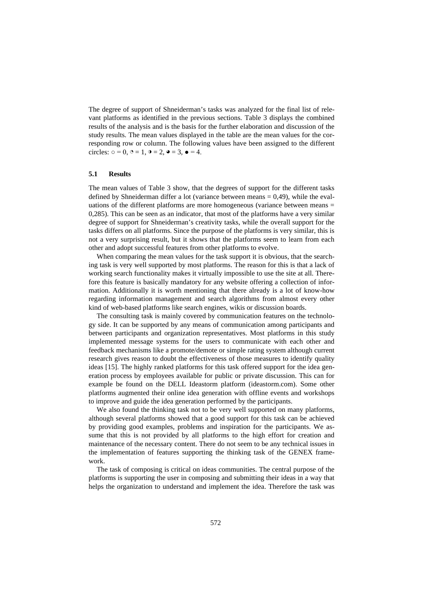The degree of support of Shneiderman's tasks was analyzed for the final list of relevant platforms as identified in the previous sections. Table 3 displays the combined results of the analysis and is the basis for the further elaboration and discussion of the study results. The mean values displayed in the table are the mean values for the corresponding row or column. The following values have been assigned to the different circles:  $o = 0$ ,  $o = 1$ ,  $o = 2$ ,  $o = 3$ ,  $o = 4$ .

#### **5.1 Results**

The mean values of Table 3 show, that the degrees of support for the different tasks defined by Shneiderman differ a lot (variance between means = 0,49), while the evaluations of the different platforms are more homogeneous (variance between means = 0,285). This can be seen as an indicator, that most of the platforms have a very similar degree of support for Shneiderman's creativity tasks, while the overall support for the tasks differs on all platforms. Since the purpose of the platforms is very similar, this is not a very surprising result, but it shows that the platforms seem to learn from each other and adopt successful features from other platforms to evolve.

When comparing the mean values for the task support it is obvious, that the searching task is very well supported by most platforms. The reason for this is that a lack of working search functionality makes it virtually impossible to use the site at all. Therefore this feature is basically mandatory for any website offering a collection of information. Additionally it is worth mentioning that there already is a lot of know-how regarding information management and search algorithms from almost every other kind of web-based platforms like search engines, wikis or discussion boards.

The consulting task is mainly covered by communication features on the technology side. It can be supported by any means of communication among participants and between participants and organization representatives. Most platforms in this study implemented message systems for the users to communicate with each other and feedback mechanisms like a promote/demote or simple rating system although current research gives reason to doubt the effectiveness of those measures to identify quality ideas [15]. The highly ranked platforms for this task offered support for the idea generation process by employees available for public or private discussion. This can for example be found on the DELL Ideastorm platform (ideastorm.com). Some other platforms augmented their online idea generation with offline events and workshops to improve and guide the idea generation performed by the participants.

We also found the thinking task not to be very well supported on many platforms, although several platforms showed that a good support for this task can be achieved by providing good examples, problems and inspiration for the participants. We assume that this is not provided by all platforms to the high effort for creation and maintenance of the necessary content. There do not seem to be any technical issues in the implementation of features supporting the thinking task of the GENEX framework.

The task of composing is critical on ideas communities. The central purpose of the platforms is supporting the user in composing and submitting their ideas in a way that helps the organization to understand and implement the idea. Therefore the task was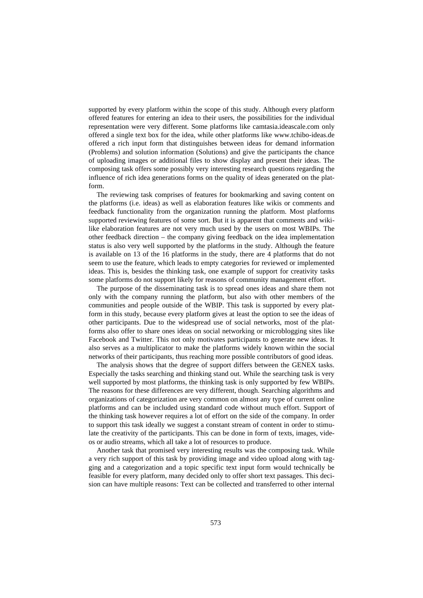supported by every platform within the scope of this study. Although every platform offered features for entering an idea to their users, the possibilities for the individual representation were very different. Some platforms like camtasia.ideascale.com only offered a single text box for the idea, while other platforms like www.tchibo-ideas.de offered a rich input form that distinguishes between ideas for demand information (Problems) and solution information (Solutions) and give the participants the chance of uploading images or additional files to show display and present their ideas. The composing task offers some possibly very interesting research questions regarding the influence of rich idea generations forms on the quality of ideas generated on the platform.

The reviewing task comprises of features for bookmarking and saving content on the platforms (i.e. ideas) as well as elaboration features like wikis or comments and feedback functionality from the organization running the platform. Most platforms supported reviewing features of some sort. But it is apparent that comments and wikilike elaboration features are not very much used by the users on most WBIPs. The other feedback direction – the company giving feedback on the idea implementation status is also very well supported by the platforms in the study. Although the feature is available on 13 of the 16 platforms in the study, there are 4 platforms that do not seem to use the feature, which leads to empty categories for reviewed or implemented ideas. This is, besides the thinking task, one example of support for creativity tasks some platforms do not support likely for reasons of community management effort.

The purpose of the disseminating task is to spread ones ideas and share them not only with the company running the platform, but also with other members of the communities and people outside of the WBIP. This task is supported by every platform in this study, because every platform gives at least the option to see the ideas of other participants. Due to the widespread use of social networks, most of the platforms also offer to share ones ideas on social networking or microblogging sites like Facebook and Twitter. This not only motivates participants to generate new ideas. It also serves as a multiplicator to make the platforms widely known within the social networks of their participants, thus reaching more possible contributors of good ideas.

The analysis shows that the degree of support differs between the GENEX tasks. Especially the tasks searching and thinking stand out. While the searching task is very well supported by most platforms, the thinking task is only supported by few WBIPs. The reasons for these differences are very different, though. Searching algorithms and organizations of categorization are very common on almost any type of current online platforms and can be included using standard code without much effort. Support of the thinking task however requires a lot of effort on the side of the company. In order to support this task ideally we suggest a constant stream of content in order to stimulate the creativity of the participants. This can be done in form of texts, images, videos or audio streams, which all take a lot of resources to produce.

Another task that promised very interesting results was the composing task. While a very rich support of this task by providing image and video upload along with tagging and a categorization and a topic specific text input form would technically be feasible for every platform, many decided only to offer short text passages. This decision can have multiple reasons: Text can be collected and transferred to other internal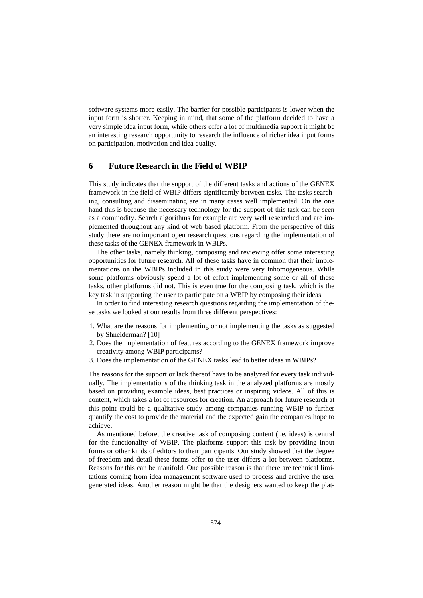software systems more easily. The barrier for possible participants is lower when the input form is shorter. Keeping in mind, that some of the platform decided to have a very simple idea input form, while others offer a lot of multimedia support it might be an interesting research opportunity to research the influence of richer idea input forms on participation, motivation and idea quality.

## **6 Future Research in the Field of WBIP**

This study indicates that the support of the different tasks and actions of the GENEX framework in the field of WBIP differs significantly between tasks. The tasks searching, consulting and disseminating are in many cases well implemented. On the one hand this is because the necessary technology for the support of this task can be seen as a commodity. Search algorithms for example are very well researched and are implemented throughout any kind of web based platform. From the perspective of this study there are no important open research questions regarding the implementation of these tasks of the GENEX framework in WBIPs.

The other tasks, namely thinking, composing and reviewing offer some interesting opportunities for future research. All of these tasks have in common that their implementations on the WBIPs included in this study were very inhomogeneous. While some platforms obviously spend a lot of effort implementing some or all of these tasks, other platforms did not. This is even true for the composing task, which is the key task in supporting the user to participate on a WBIP by composing their ideas.

In order to find interesting research questions regarding the implementation of these tasks we looked at our results from three different perspectives:

- 1. What are the reasons for implementing or not implementing the tasks as suggested by Shneiderman? [10]
- 2. Does the implementation of features according to the GENEX framework improve creativity among WBIP participants?
- 3. Does the implementation of the GENEX tasks lead to better ideas in WBIPs?

The reasons for the support or lack thereof have to be analyzed for every task individually. The implementations of the thinking task in the analyzed platforms are mostly based on providing example ideas, best practices or inspiring videos. All of this is content, which takes a lot of resources for creation. An approach for future research at this point could be a qualitative study among companies running WBIP to further quantify the cost to provide the material and the expected gain the companies hope to achieve.

As mentioned before, the creative task of composing content (i.e. ideas) is central for the functionality of WBIP. The platforms support this task by providing input forms or other kinds of editors to their participants. Our study showed that the degree of freedom and detail these forms offer to the user differs a lot between platforms. Reasons for this can be manifold. One possible reason is that there are technical limitations coming from idea management software used to process and archive the user generated ideas. Another reason might be that the designers wanted to keep the plat-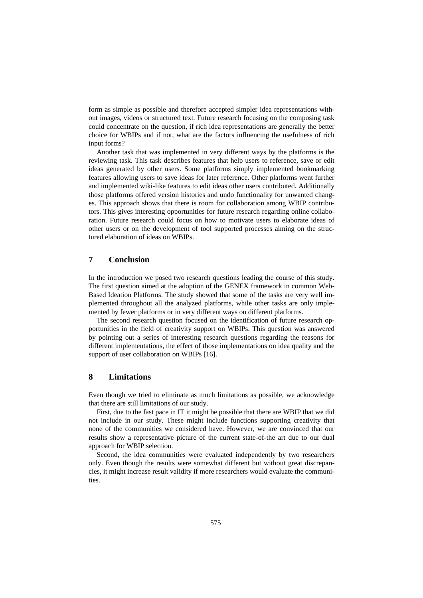form as simple as possible and therefore accepted simpler idea representations without images, videos or structured text. Future research focusing on the composing task could concentrate on the question, if rich idea representations are generally the better choice for WBIPs and if not, what are the factors influencing the usefulness of rich input forms?

Another task that was implemented in very different ways by the platforms is the reviewing task. This task describes features that help users to reference, save or edit ideas generated by other users. Some platforms simply implemented bookmarking features allowing users to save ideas for later reference. Other platforms went further and implemented wiki-like features to edit ideas other users contributed. Additionally those platforms offered version histories and undo functionality for unwanted changes. This approach shows that there is room for collaboration among WBIP contributors. This gives interesting opportunities for future research regarding online collaboration. Future research could focus on how to motivate users to elaborate ideas of other users or on the development of tool supported processes aiming on the structured elaboration of ideas on WBIPs.

## **7 Conclusion**

In the introduction we posed two research questions leading the course of this study. The first question aimed at the adoption of the GENEX framework in common Web-Based Ideation Platforms. The study showed that some of the tasks are very well implemented throughout all the analyzed platforms, while other tasks are only implemented by fewer platforms or in very different ways on different platforms.

The second research question focused on the identification of future research opportunities in the field of creativity support on WBIPs. This question was answered by pointing out a series of interesting research questions regarding the reasons for different implementations, the effect of those implementations on idea quality and the support of user collaboration on WBIPs [16].

# **8 Limitations**

Even though we tried to eliminate as much limitations as possible, we acknowledge that there are still limitations of our study.

First, due to the fast pace in IT it might be possible that there are WBIP that we did not include in our study. These might include functions supporting creativity that none of the communities we considered have. However, we are convinced that our results show a representative picture of the current state-of-the art due to our dual approach for WBIP selection.

Second, the idea communities were evaluated independently by two researchers only. Even though the results were somewhat different but without great discrepancies, it might increase result validity if more researchers would evaluate the communities.